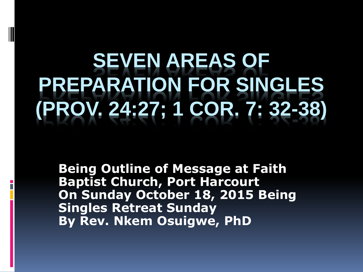## **EVEN AREAS OF PREPARATION FOR SINGLES (PROV. 24:27; 1 COR. 7: 32-38)**

**Being Outline of Message at Faith Baptist Church, Port Harcourt On Sunday October 18, 2015 Being Singles Retreat Sunday By Rev. Nkem Osuigwe, PhD**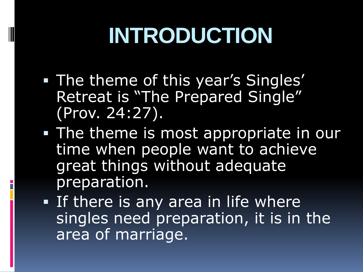# **INTRODUCTION**

- **The theme of this year's Singles'** Retreat is "The Prepared Single" (Prov. 24:27).
- **The theme is most appropriate in our** time when people want to achieve great things without adequate preparation.
- **If there is any area in life where** singles need preparation, it is in the area of marriage.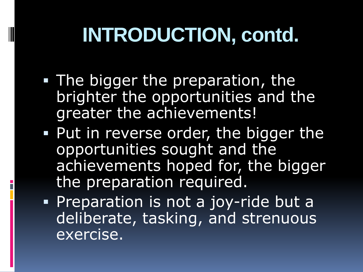## **INTRODUCTION, contd.**

- **The bigger the preparation, the** brighter the opportunities and the greater the achievements!
- **Put in reverse order, the bigger the** opportunities sought and the achievements hoped for, the bigger the preparation required.
- **Preparation is not a joy-ride but a** deliberate, tasking, and strenuous exercise.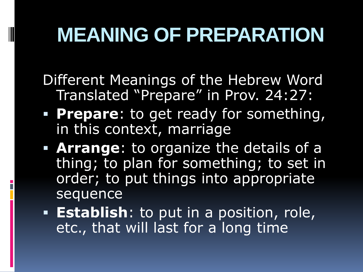## **MEANING OF PREPARATION**

Different Meanings of the Hebrew Word Translated "Prepare" in Prov. 24:27:

- **Prepare**: to get ready for something, in this context, marriage
- **Arrange**: to organize the details of a thing; to plan for something; to set in order; to put things into appropriate sequence
- **Establish**: to put in a position, role, etc., that will last for a long time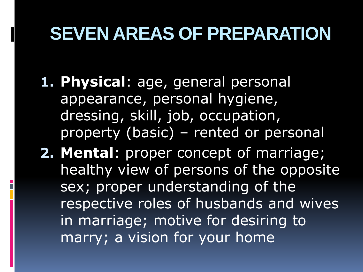#### **SEVEN AREAS OF PREPARATION**

- **1. Physical**: age, general personal appearance, personal hygiene, dressing, skill, job, occupation, property (basic) – rented or personal
- **2. Mental**: proper concept of marriage; healthy view of persons of the opposite sex; proper understanding of the respective roles of husbands and wives in marriage; motive for desiring to marry; a vision for your home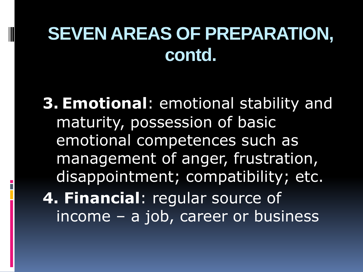#### **SEVEN AREAS OF PREPARATION, contd.**

**3. Emotional**: emotional stability and maturity, possession of basic emotional competences such as management of anger, frustration, disappointment; compatibility; etc. **4. Financial**: regular source of income – a job, career or business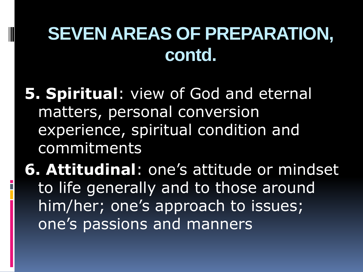#### **SEVEN AREAS OF PREPARATION, contd.**

**5. Spiritual**: view of God and eternal matters, personal conversion experience, spiritual condition and commitments

**6. Attitudinal**: one's attitude or mindset to life generally and to those around him/her; one's approach to issues; one's passions and manners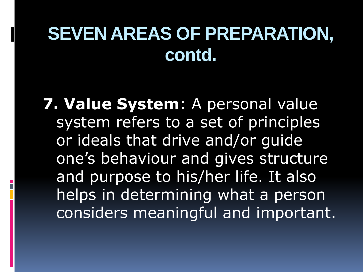#### **SEVEN AREAS OF PREPARATION, contd.**

**7. Value System**: A personal value system refers to a set of principles or ideals that drive and/or guide one's behaviour and gives structure and purpose to his/her life. It also helps in determining what a person considers meaningful and important.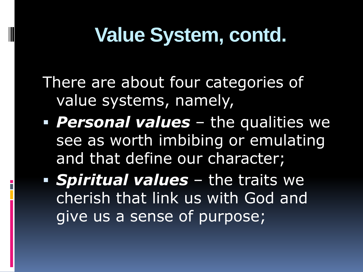## **Value System, contd.**

There are about four categories of value systems, namely,

- **Personal values** the qualities we see as worth imbibing or emulating and that define our character;
- *Spiritual values* the traits we cherish that link us with God and give us a sense of purpose;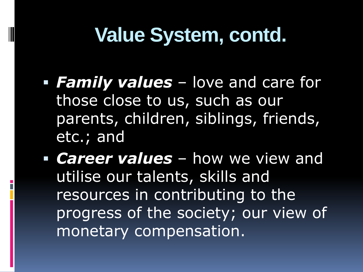### **Value System, contd.**

- *Family values* love and care for those close to us, such as our parents, children, siblings, friends, etc.; and
- *Career values* how we view and utilise our talents, skills and resources in contributing to the progress of the society; our view of monetary compensation.